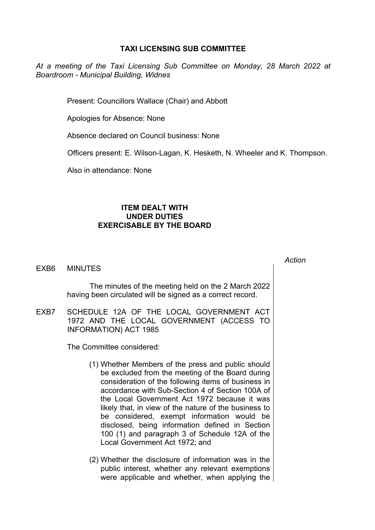## **TAXI LICENSING SUB COMMITTEE**

*At a meeting of the Taxi Licensing Sub Committee on Monday, 28 March 2022 at Boardroom - Municipal Building, Widnes*

Present: Councillors Wallace (Chair) and Abbott

Apologies for Absence: None

Absence declared on Council business: None

Officers present: E. Wilson-Lagan, K. Hesketh, N. Wheeler and K. Thompson.

Also in attendance: None

## **ITEM DEALT WITH UNDER DUTIES EXERCISABLE BY THE BOARD**

EXB6 MINUTES

The minutes of the meeting held on the 2 March 2022 having been circulated will be signed as a correct record.

EXB7 SCHEDULE 12A OF THE LOCAL GOVERNMENT ACT 1972 AND THE LOCAL GOVERNMENT (ACCESS TO INFORMATION) ACT 1985

The Committee considered:

- (1) Whether Members of the press and public should be excluded from the meeting of the Board during consideration of the following items of business in accordance with Sub-Section 4 of Section 100A of the Local Government Act 1972 because it was likely that, in view of the nature of the business to be considered, exempt information would be disclosed, being information defined in Section 100 (1) and paragraph 3 of Schedule 12A of the Local Government Act 1972; and
- (2) Whether the disclosure of information was in the public interest, whether any relevant exemptions were applicable and whether, when applying the

*Action*